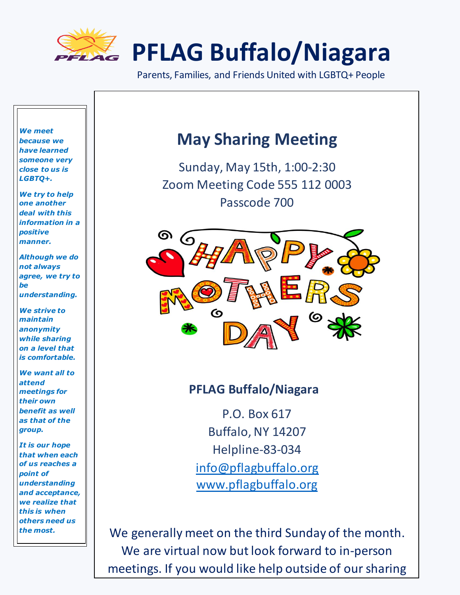

Parents, Families, and Friends United with LGBTQ+ People

*We meet because we have learned someone very close to us is LGBTQ+.* 

*We try to help one another deal with this information in a positive manner.* 

*Although we do not always agree, we try to be understanding.*

*We strive to maintain anonymity while sharing on a level that is comfortable.*

*We want all to attend meetings for their own benefit as well as that of the group.*

*It is our hope that when each of us reaches a point of understanding and acceptance, we realize that this is when others need us the most.*

### **May Sharing Meeting**

Sunday, May 15th, 1:00-2:30 Zoom Meeting Code 555 112 0003 Passcode 700



### **PFLAG Buffalo/Niagara**

P.O. Box 617 Buffalo, NY 14207 Helpline-83-034 [info@pflagbuffalo.org](mailto:info@pflagbuffalo.org) [www.pflagbuffalo.org](http://www.pflagbuffalo.org/)

We generally meet on the third Sunday of the month. We are virtual now but look forward to in-person meetings. If you would like help outside of our sharing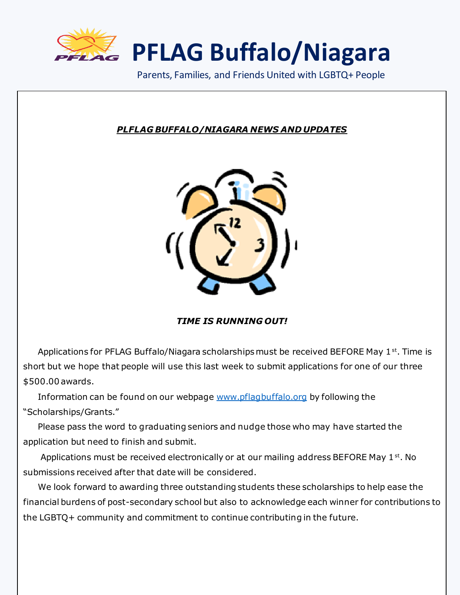

Parents, Families, and Friends United with LGBTQ+ People

#### *PLFLAG BUFFALO/NIAGARA NEWS AND UPDATES*



*TIME IS RUNNING OUT!*

Applications for PFLAG Buffalo/Niagara scholarships must be received BEFORE May 1<sup>st</sup>. Time is short but we hope that people will use this last week to submit applications for one of our three \$500.00 awards.

 Information can be found on our webpage [www.pflagbuffalo.org](http://www.pflagbuffalo.org/) by following the "Scholarships/Grants."

 Please pass the word to graduating seniors and nudge those who may have started the application but need to finish and submit.

Applications must be received electronically or at our mailing address BEFORE May 1<sup>st</sup>. No submissions received after that date will be considered.

 We look forward to awarding three outstanding students these scholarships to help ease the financial burdens of post-secondary school but also to acknowledge each winner for contributions to the LGBTQ+ community and commitment to continue contributing in the future.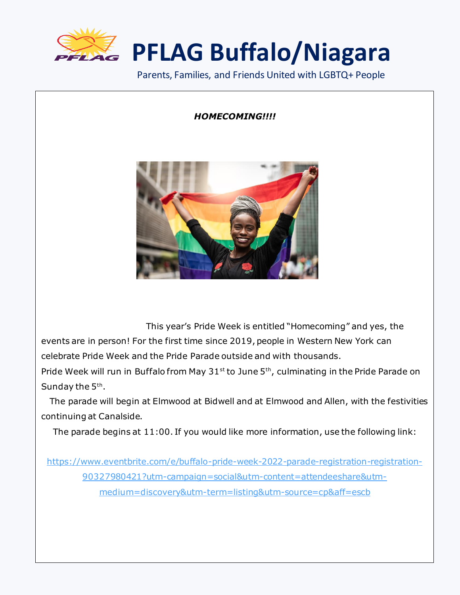

Parents, Families, and Friends United with LGBTQ+ People

#### *HOMECOMING!!!!*



This year's Pride Week is entitled "Homecoming" and yes, the

events are in person! For the first time since 2019, people in Western New York can celebrate Pride Week and the Pride Parade outside and with thousands.

Pride Week will run in Buffalo from May  $31^{st}$  to June  $5^{th}$ , culminating in the Pride Parade on Sunday the 5<sup>th</sup>.

 The parade will begin at Elmwood at Bidwell and at Elmwood and Allen, with the festivities continuing at Canalside.

The parade begins at 11:00. If you would like more information, use the following link:

[https://www.eventbrite.com/e/buffalo-pride-week-2022-parade-registration-registration-](https://www.eventbrite.com/e/buffalo-pride-week-2022-parade-registration-registration-90327980421?utm-campaign=social&utm-content=attendeeshare&utm-medium=discovery&utm-term=listing&utm-source=cp&aff=escb)[90327980421?utm-campaign=social&utm-content=attendeeshare&utm](https://www.eventbrite.com/e/buffalo-pride-week-2022-parade-registration-registration-90327980421?utm-campaign=social&utm-content=attendeeshare&utm-medium=discovery&utm-term=listing&utm-source=cp&aff=escb)[medium=discovery&utm-term=listing&utm-source=cp&aff=escb](https://www.eventbrite.com/e/buffalo-pride-week-2022-parade-registration-registration-90327980421?utm-campaign=social&utm-content=attendeeshare&utm-medium=discovery&utm-term=listing&utm-source=cp&aff=escb)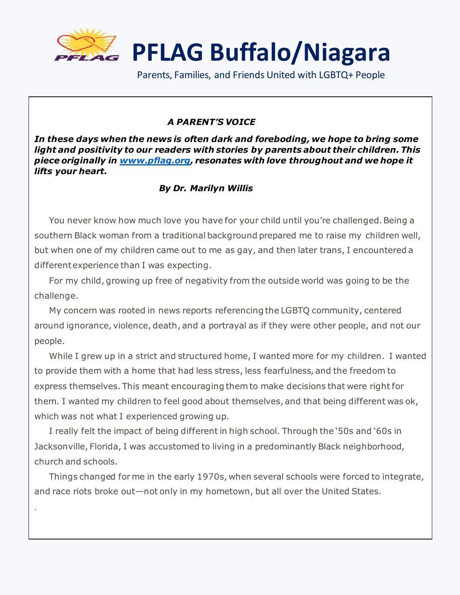

Parents, Families, and Friends United with LGBTQ+ People

#### *A PARENT'S VOICE*

*In these days when the news is often dark and foreboding, we hope to bring some light and positivity to our readers with stories by parents about their children. This piece originally in [www.pflag.org,](http://www.pflag.org/) resonates with love throughout and we hope it lifts your heart.* 

#### *By Dr. Marilyn Willis*

 You never know how much love you have for your child until you're challenged. Being a southern Black woman from a traditional background prepared me to raise my children well, but when one of my children came out to me as gay, and then later trans, I encountered a different experience than I was expecting.

 For my child, growing up free of negativity from the outside world was going to be the challenge.

 My concern was rooted in news reports referencing the LGBTQ community, centered around ignorance, violence, death, and a portrayal as if they were other people, and not our people.

 While I grew up in a strict and structured home, I wanted more for my children. I wanted to provide them with a home that had less stress, less fearfulness, and the freedom to express themselves. This meant encouraging them to make decisions that were right for them. I wanted my children to feel good about themselves, and that being different was ok, which was not what I experienced growing up.

 I really felt the impact of being different in high school. Through the '50s and '60s in Jacksonville, Florida, I was accustomed to living in a predominantly Black neighborhood, church and schools.

.

 Things changed for me in the early 1970s, when several schools were forced to integrate, and race riots broke out—not only in my hometown, but all over the United States.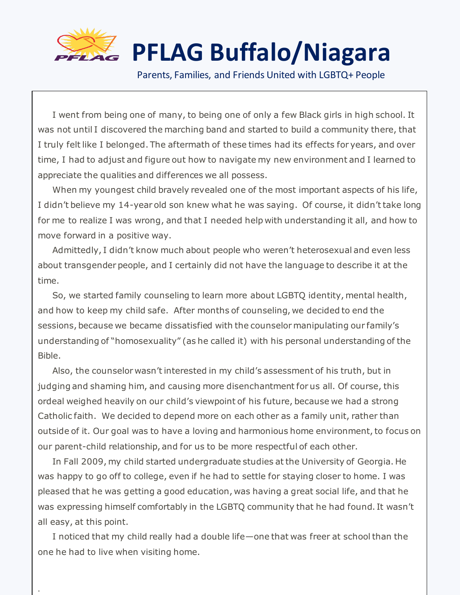

.

## **PFLAG Buffalo/Niagara**

Parents, Families, and Friends United with LGBTQ+ People

 I went from being one of many, to being one of only a few Black girls in high school. It was not until I discovered the marching band and started to build a community there, that I truly felt like I belonged. The aftermath of these times had its effects for years, and over time, I had to adjust and figure out how to navigate my new environment and I learned to appreciate the qualities and differences we all possess.

 When my youngest child bravely revealed one of the most important aspects of his life, I didn't believe my 14-year old son knew what he was saying. Of course, it didn't take long for me to realize I was wrong, and that I needed help with understanding it all, and how to move forward in a positive way.

 Admittedly, I didn't know much about people who weren't heterosexual and even less about transgender people, and I certainly did not have the language to describe it at the time.

 So, we started family counseling to learn more about LGBTQ identity, mental health, and how to keep my child safe. After months of counseling, we decided to end the sessions, because we became dissatisfied with the counselor manipulating our family's understanding of "homosexuality" (as he called it) with his personal understanding of the Bible.

 Also, the counselor wasn't interested in my child's assessment of his truth, but in judging and shaming him, and causing more disenchantment for us all. Of course, this ordeal weighed heavily on our child's viewpoint of his future, because we had a strong Catholic faith. We decided to depend more on each other as a family unit, rather than outside of it. Our goal was to have a loving and harmonious home environment, to focus on our parent-child relationship, and for us to be more respectful of each other.

 In Fall 2009, my child started undergraduate studies at the University of Georgia. He was happy to go off to college, even if he had to settle for staying closer to home. I was pleased that he was getting a good education, was having a great social life, and that he was expressing himself comfortably in the LGBTQ community that he had found. It wasn't all easy, at this point.

 I noticed that my child really had a double life—one that was freer at school than the one he had to live when visiting home.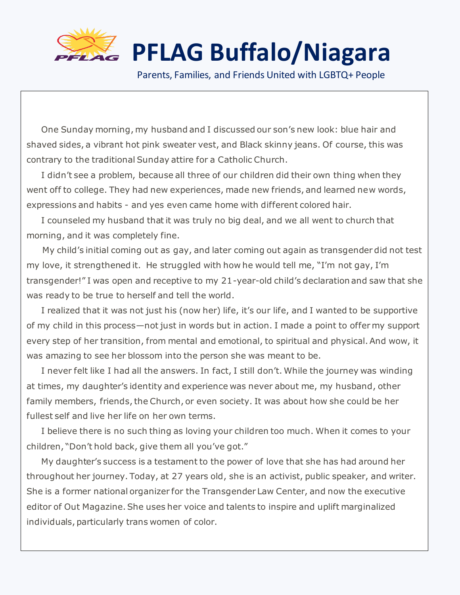

Parents, Families, and Friends United with LGBTQ+ People

 One Sunday morning, my husband and I discussed our son's new look: blue hair and shaved sides, a vibrant hot pink sweater vest, and Black skinny jeans. Of course, this was contrary to the traditional Sunday attire for a Catholic Church.

 I didn't see a problem, because all three of our children did their own thing when they went off to college. They had new experiences, made new friends, and learned new words, expressions and habits - and yes even came home with different colored hair.

 I counseled my husband that it was truly no big deal, and we all went to church that morning, and it was completely fine.

 My child's initial coming out as gay, and later coming out again as transgender did not test my love, it strengthened it. He struggled with how he would tell me, "I'm not gay, I'm transgender!" I was open and receptive to my 21-year-old child's declaration and saw that she was ready to be true to herself and tell the world.

 I realized that it was not just his (now her) life, it's our life, and I wanted to be supportive of my child in this process—not just in words but in action. I made a point to offer my support every step of her transition, from mental and emotional, to spiritual and physical. And wow, it was amazing to see her blossom into the person she was meant to be.

 I never felt like I had all the answers. In fact, I still don't. While the journey was winding at times, my daughter's identity and experience was never about me, my husband, other family members, friends, the Church, or even society. It was about how she could be her fullest self and live her life on her own terms.

 I believe there is no such thing as loving your children too much. When it comes to your children, "Don't hold back, give them all you've got."

 My daughter's success is a testament to the power of love that she has had around her throughout her journey. Today, at 27 years old, she is an activist, public speaker, and writer. She is a former national organizer for the Transgender Law Center, and now the executive editor of Out Magazine. She uses her voice and talents to inspire and uplift marginalized individuals, particularly trans women of color.